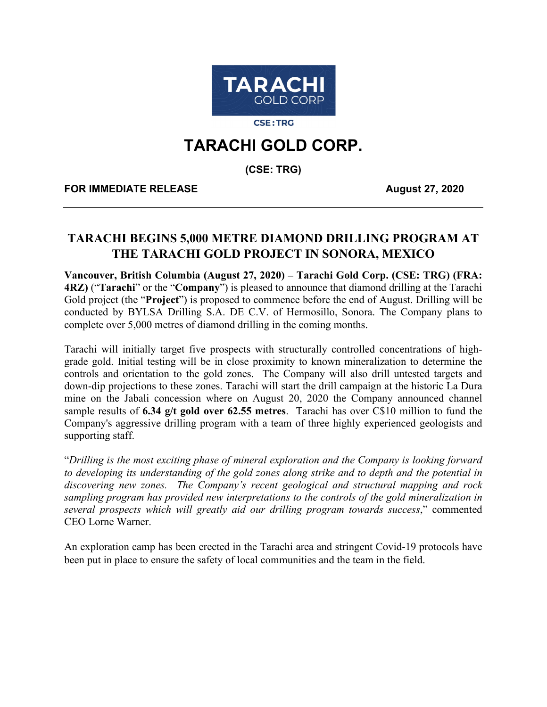

**CSE:TRG** 

# **TARACHI GOLD CORP.**

**(CSE: TRG)**

**FOR IMMEDIATE RELEASE August 27, 2020** 

# **TARACHI BEGINS 5,000 METRE DIAMOND DRILLING PROGRAM AT THE TARACHI GOLD PROJECT IN SONORA, MEXICO**

**Vancouver, British Columbia (August 27, 2020) – Tarachi Gold Corp. (CSE: TRG) (FRA: 4RZ)** ("**Tarachi**" or the "**Company**") is pleased to announce that diamond drilling at the Tarachi Gold project (the "**Project**") is proposed to commence before the end of August. Drilling will be conducted by BYLSA Drilling S.A. DE C.V. of Hermosillo, Sonora. The Company plans to complete over 5,000 metres of diamond drilling in the coming months.

Tarachi will initially target five prospects with structurally controlled concentrations of highgrade gold. Initial testing will be in close proximity to known mineralization to determine the controls and orientation to the gold zones. The Company will also drill untested targets and down-dip projections to these zones. Tarachi will start the drill campaign at the historic La Dura mine on the Jabali concession where on August 20, 2020 the Company announced channel sample results of **6.34 g/t gold over 62.55 metres**. Tarachi has over C\$10 million to fund the Company's aggressive drilling program with a team of three highly experienced geologists and supporting staff.

"*Drilling is the most exciting phase of mineral exploration and the Company is looking forward to developing its understanding of the gold zones along strike and to depth and the potential in discovering new zones. The Company's recent geological and structural mapping and rock sampling program has provided new interpretations to the controls of the gold mineralization in several prospects which will greatly aid our drilling program towards success*," commented CEO Lorne Warner.

An exploration camp has been erected in the Tarachi area and stringent Covid-19 protocols have been put in place to ensure the safety of local communities and the team in the field.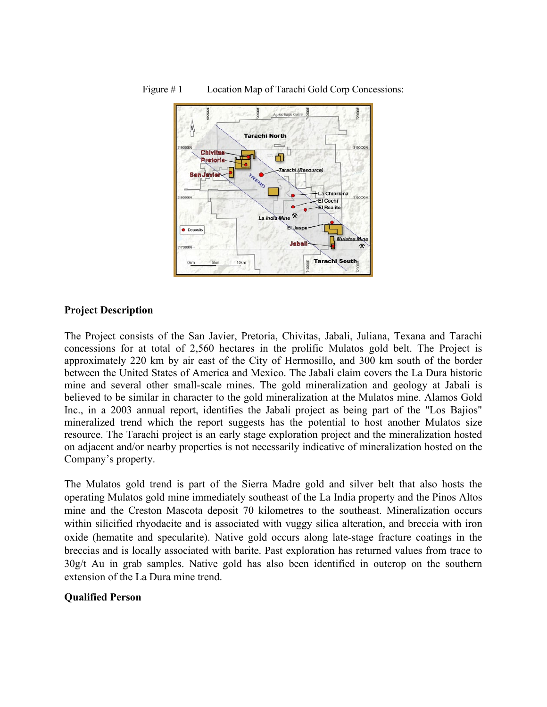

#### Figure # 1 Location Map of Tarachi Gold Corp Concessions:

#### **Project Description**

The Project consists of the San Javier, Pretoria, Chivitas, Jabali, Juliana, Texana and Tarachi concessions for at total of 2,560 hectares in the prolific Mulatos gold belt. The Project is approximately 220 km by air east of the City of Hermosillo, and 300 km south of the border between the United States of America and Mexico. The Jabali claim covers the La Dura historic mine and several other small-scale mines. The gold mineralization and geology at Jabali is believed to be similar in character to the gold mineralization at the Mulatos mine. Alamos Gold Inc., in a 2003 annual report, identifies the Jabali project as being part of the "Los Bajios" mineralized trend which the report suggests has the potential to host another Mulatos size resource. The Tarachi project is an early stage exploration project and the mineralization hosted on adjacent and/or nearby properties is not necessarily indicative of mineralization hosted on the Company's property.

The Mulatos gold trend is part of the Sierra Madre gold and silver belt that also hosts the operating Mulatos gold mine immediately southeast of the La India property and the Pinos Altos mine and the Creston Mascota deposit 70 kilometres to the southeast. Mineralization occurs within silicified rhyodacite and is associated with vuggy silica alteration, and breccia with iron oxide (hematite and specularite). Native gold occurs along late-stage fracture coatings in the breccias and is locally associated with barite. Past exploration has returned values from trace to 30g/t Au in grab samples. Native gold has also been identified in outcrop on the southern extension of the La Dura mine trend.

#### **Qualified Person**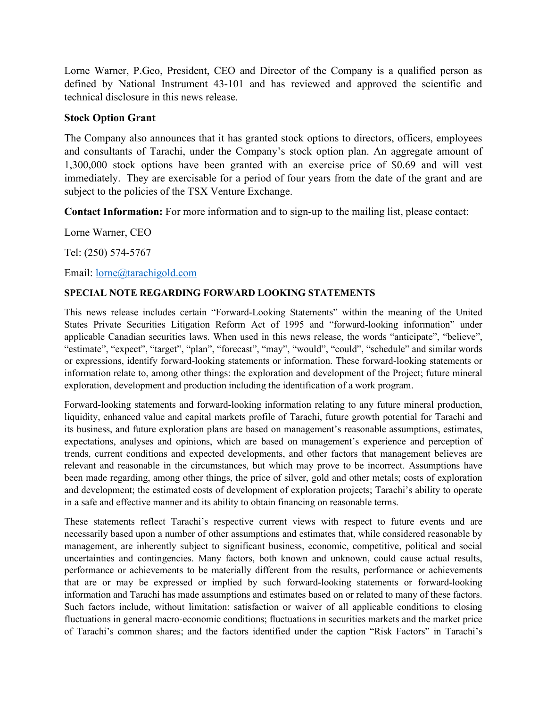Lorne Warner, P.Geo, President, CEO and Director of the Company is a qualified person as defined by National Instrument 43-101 and has reviewed and approved the scientific and technical disclosure in this news release.

## **Stock Option Grant**

The Company also announces that it has granted stock options to directors, officers, employees and consultants of Tarachi, under the Company's stock option plan. An aggregate amount of 1,300,000 stock options have been granted with an exercise price of \$0.69 and will vest immediately. They are exercisable for a period of four years from the date of the grant and are subject to the policies of the TSX Venture Exchange.

**Contact Information:** For more information and to sign-up to the mailing list, please contact:

Lorne Warner, CEO

Tel: (250) 574-5767

Email: [lorne@tarachigold.com](mailto:lorne@tarachigold.com)

### **SPECIAL NOTE REGARDING FORWARD LOOKING STATEMENTS**

This news release includes certain "Forward‐Looking Statements" within the meaning of the United States Private Securities Litigation Reform Act of 1995 and "forward‐looking information" under applicable Canadian securities laws. When used in this news release, the words "anticipate", "believe", "estimate", "expect", "target", "plan", "forecast", "may", "would", "could", "schedule" and similar words or expressions, identify forward‐looking statements or information. These forward‐looking statements or information relate to, among other things: the exploration and development of the Project; future mineral exploration, development and production including the identification of a work program.

Forward‐looking statements and forward‐looking information relating to any future mineral production, liquidity, enhanced value and capital markets profile of Tarachi, future growth potential for Tarachi and its business, and future exploration plans are based on management's reasonable assumptions, estimates, expectations, analyses and opinions, which are based on management's experience and perception of trends, current conditions and expected developments, and other factors that management believes are relevant and reasonable in the circumstances, but which may prove to be incorrect. Assumptions have been made regarding, among other things, the price of silver, gold and other metals; costs of exploration and development; the estimated costs of development of exploration projects; Tarachi's ability to operate in a safe and effective manner and its ability to obtain financing on reasonable terms.

These statements reflect Tarachi's respective current views with respect to future events and are necessarily based upon a number of other assumptions and estimates that, while considered reasonable by management, are inherently subject to significant business, economic, competitive, political and social uncertainties and contingencies. Many factors, both known and unknown, could cause actual results, performance or achievements to be materially different from the results, performance or achievements that are or may be expressed or implied by such forward‐looking statements or forward-looking information and Tarachi has made assumptions and estimates based on or related to many of these factors. Such factors include, without limitation: satisfaction or waiver of all applicable conditions to closing fluctuations in general macro-economic conditions; fluctuations in securities markets and the market price of Tarachi's common shares; and the factors identified under the caption "Risk Factors" in Tarachi's